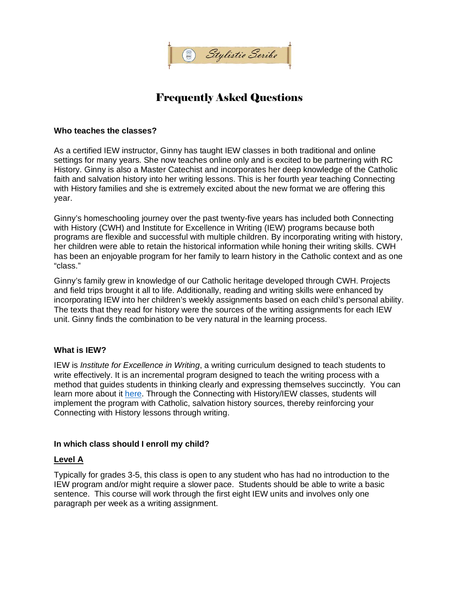

# Frequently Asked Questions

#### **Who teaches the classes?**

As a certified IEW instructor, Ginny has taught IEW classes in both traditional and online settings for many years. She now teaches online only and is excited to be partnering with RC History. Ginny is also a Master Catechist and incorporates her deep knowledge of the Catholic faith and salvation history into her writing lessons. This is her fourth year teaching Connecting with History families and she is extremely excited about the new format we are offering this year.

Ginny's homeschooling journey over the past twenty-five years has included both Connecting with History (CWH) and Institute for Excellence in Writing (IEW) programs because both programs are flexible and successful with multiple children. By incorporating writing with history, her children were able to retain the historical information while honing their writing skills. CWH has been an enjoyable program for her family to learn history in the Catholic context and as one "class."

Ginny's family grew in knowledge of our Catholic heritage developed through CWH. Projects and field trips brought it all to life. Additionally, reading and writing skills were enhanced by incorporating IEW into her children's weekly assignments based on each child's personal ability. The texts that they read for history were the sources of the writing assignments for each IEW unit. Ginny finds the combination to be very natural in the learning process.

## **What is IEW?**

IEW is *Institute for Excellence in Writing*, a writing curriculum designed to teach students to write effectively. It is an incremental program designed to teach the writing process with a method that guides students in thinking clearly and expressing themselves succinctly. You can learn more about it here. Through the Connecting with History/IEW classes, students will implement the program with Catholic, salvation history sources, thereby reinforcing your Connecting with History lessons through writing.

#### **In which class should I enroll my child?**

## **Level A**

Typically for grades 3-5, this class is open to any student who has had no introduction to the IEW program and/or might require a slower pace. Students should be able to write a basic sentence. This course will work through the first eight IEW units and involves only one paragraph per week as a writing assignment.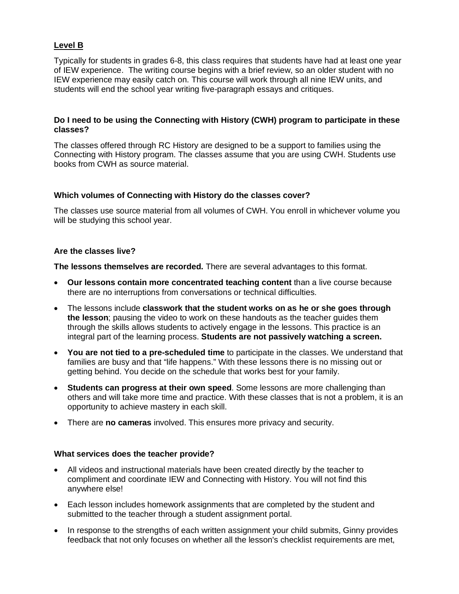## **Level B**

Typically for students in grades 6-8, this class requires that students have had at least one year of IEW experience. The writing course begins with a brief review, so an older student with no IEW experience may easily catch on. This course will work through all nine IEW units, and students will end the school year writing five-paragraph essays and critiques.

### **Do I need to be using the Connecting with History (CWH) program to participate in these classes?**

The classes offered through RC History are designed to be a support to families using the Connecting with History program. The classes assume that you are using CWH. Students use books from CWH as source material.

### **Which volumes of Connecting with History do the classes cover?**

The classes use source material from all volumes of CWH. You enroll in whichever volume you will be studying this school year.

#### **Are the classes live?**

**The lessons themselves are recorded.** There are several advantages to this format.

- **Our lessons contain more concentrated teaching content** than a live course because there are no interruptions from conversations or technical difficulties.
- The lessons include **classwork that the student works on as he or she goes through the lesson**; pausing the video to work on these handouts as the teacher guides them through the skills allows students to actively engage in the lessons. This practice is an integral part of the learning process. **Students are not passively watching a screen.**
- **You are not tied to a pre-scheduled time** to participate in the classes. We understand that families are busy and that "life happens." With these lessons there is no missing out or getting behind. You decide on the schedule that works best for your family.
- **Students can progress at their own speed**. Some lessons are more challenging than others and will take more time and practice. With these classes that is not a problem, it is an opportunity to achieve mastery in each skill.
- There are **no cameras** involved. This ensures more privacy and security.

#### **What services does the teacher provide?**

- All videos and instructional materials have been created directly by the teacher to compliment and coordinate IEW and Connecting with History. You will not find this anywhere else!
- Each lesson includes homework assignments that are completed by the student and submitted to the teacher through a student assignment portal.
- In response to the strengths of each written assignment your child submits, Ginny provides feedback that not only focuses on whether all the lesson's checklist requirements are met,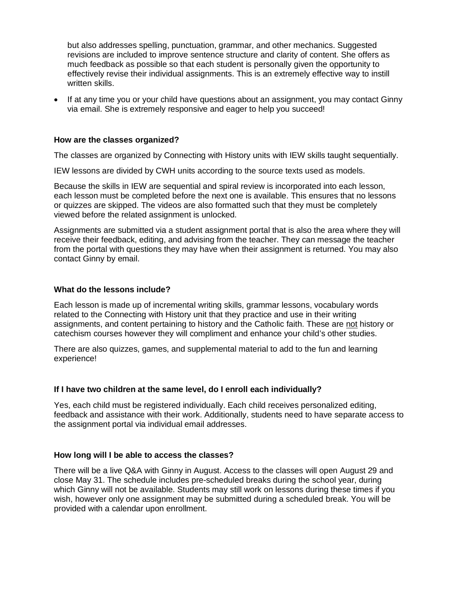but also addresses spelling, punctuation, grammar, and other mechanics. Suggested revisions are included to improve sentence structure and clarity of content. She offers as much feedback as possible so that each student is personally given the opportunity to effectively revise their individual assignments. This is an extremely effective way to instill written skills.

• If at any time you or your child have questions about an assignment, you may contact Ginny via email. She is extremely responsive and eager to help you succeed!

#### **How are the classes organized?**

The classes are organized by Connecting with History units with IEW skills taught sequentially.

IEW lessons are divided by CWH units according to the source texts used as models.

Because the skills in IEW are sequential and spiral review is incorporated into each lesson, each lesson must be completed before the next one is available. This ensures that no lessons or quizzes are skipped. The videos are also formatted such that they must be completely viewed before the related assignment is unlocked.

Assignments are submitted via a student assignment portal that is also the area where they will receive their feedback, editing, and advising from the teacher. They can message the teacher from the portal with questions they may have when their assignment is returned. You may also contact Ginny by email.

#### **What do the lessons include?**

Each lesson is made up of incremental writing skills, grammar lessons, vocabulary words related to the Connecting with History unit that they practice and use in their writing assignments, and content pertaining to history and the Catholic faith. These are not history or catechism courses however they will compliment and enhance your child's other studies.

There are also quizzes, games, and supplemental material to add to the fun and learning experience!

#### **If I have two children at the same level, do I enroll each individually?**

Yes, each child must be registered individually. Each child receives personalized editing, feedback and assistance with their work. Additionally, students need to have separate access to the assignment portal via individual email addresses.

#### **How long will I be able to access the classes?**

There will be a live Q&A with Ginny in August. Access to the classes will open August 29 and close May 31. The schedule includes pre-scheduled breaks during the school year, during which Ginny will not be available. Students may still work on lessons during these times if you wish, however only one assignment may be submitted during a scheduled break. You will be provided with a calendar upon enrollment.